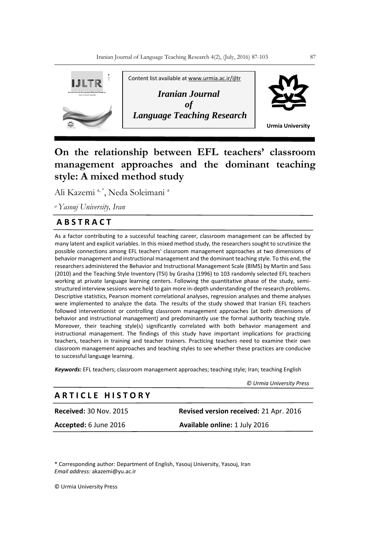

# **On the relationship between EFL teachers' classroom management approaches and the dominant teaching style: A mixed method study**

Ali Kazemi a, \*, Neda Soleimani a

*<sup>a</sup>Yasouj University, Iran*

## **A B S T R A C T**

As a factor contributing to a successful teaching career, classroom management can be affected by many latent and explicit variables. In this mixed method study, the researchers sought to scrutinize the possible connections among EFL teachers' classroom management approaches at two dimensions of behavior management and instructional management and the dominant teaching style. To this end, the researchers administered the Behavior and Instructional Management Scale (BIMS) by Martin and Sass (2010) and the Teaching Style Inventory (TSI) by Grasha (1996) to 103 randomly selected EFL teachers working at private language learning centers. Following the quantitative phase of the study, semistructured interview sessions were held to gain more in-depth understanding of the research problems. Descriptive statistics, Pearson moment correlational analyses, regression analyses and theme analyses were implemented to analyze the data. The results of the study showed that Iranian EFL teachers followed interventionist or controlling classroom management approaches (at both dimensions of behavior and instructional management) and predominantly use the formal authority teaching style. Moreover, their teaching style(s) significantly correlated with both behavior management and instructional management. The findings of this study have important implications for practicing teachers, teachers in training and teacher trainers. Practicing teachers need to examine their own classroom management approaches and teaching styles to see whether these practices are conducive to successful language learning.

*Keywords:* EFL teachers; classroom management approaches; teaching style; Iran; teaching English

 *© Urmia University Press*

## **A R T I C L E H I S T O R Y**

**Received:** 30 Nov. 2015 **Revised version received:** 21 Apr. 2016

**Accepted:** 6 June 2016 **Available online:** 1 July 2016

\* Corresponding author: Department of English, Yasouj University, Yasouj, Iran *Email address:* akazemi@yu.ac.ir

© Urmia University Press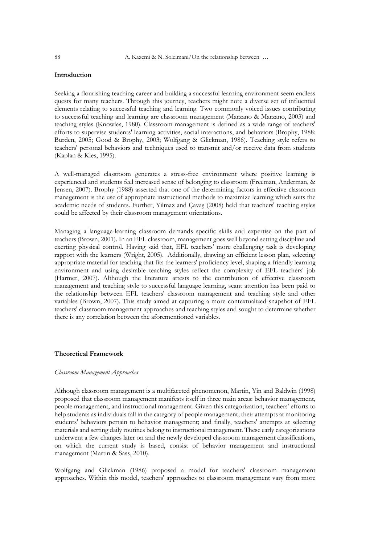## **Introduction**

Seeking a flourishing teaching career and building a successful learning environment seem endless quests for many teachers. Through this journey, teachers might note a diverse set of influential elements relating to successful teaching and learning. Two commonly voiced issues contributing to successful teaching and learning are classroom management (Marzano & Marzano, 2003) and teaching styles (Knowles, 1980). Classroom management is defined as a wide range of teachers' efforts to supervise students' learning activities, social interactions, and behaviors (Brophy, 1988; Burden, 2005; Good & Brophy, 2003; Wolfgang & Glickman, 1986). Teaching style refers to teachers' personal behaviors and techniques used to transmit and/or receive data from students (Kaplan & Kies, 1995).

A well-managed classroom generates a stress-free environment where positive learning is experienced and students feel increased sense of belonging to classroom (Freeman, Anderman, & Jensen, 2007). Brophy (1988) asserted that one of the determining factors in effective classroom management is the use of appropriate instructional methods to maximize learning which suits the academic needs of students. Further, Yilmaz and Çavaş (2008) held that teachers' teaching styles could be affected by their classroom management orientations.

Managing a language-learning classroom demands specific skills and expertise on the part of teachers (Brown, 2001). In an EFL classroom, management goes well beyond setting discipline and exerting physical control. Having said that, EFL teachers' more challenging task is developing rapport with the learners (Wright, 2005). Additionally, drawing an efficient lesson plan, selecting appropriate material for teaching that fits the learners' proficiency level, shaping a friendly learning environment and using desirable teaching styles reflect the complexity of EFL teachers' job (Harmer, 2007). Although the literature attests to the contribution of effective classroom management and teaching style to successful language learning, scant attention has been paid to the relationship between EFL teachers' classroom management and teaching style and other variables (Brown, 2007). This study aimed at capturing a more contextualized snapshot of EFL teachers' classroom management approaches and teaching styles and sought to determine whether there is any correlation between the aforementioned variables.

#### **Theoretical Framework**

#### *Classroom Management Approaches*

Although classroom management is a multifaceted phenomenon, Martin, Yin and Baldwin (1998) proposed that classroom management manifests itself in three main areas: behavior management, people management, and instructional management. Given this categorization, teachers' efforts to help students as individuals fall in the category of people management; their attempts at monitoring students' behaviors pertain to behavior management; and finally, teachers' attempts at selecting materials and setting daily routines belong to instructional management. These early categorizations underwent a few changes later on and the newly developed classroom management classifications, on which the current study is based, consist of behavior management and instructional management (Martin & Sass, 2010).

Wolfgang and Glickman (1986) proposed a model for teachers' classroom management approaches. Within this model, teachers' approaches to classroom management vary from more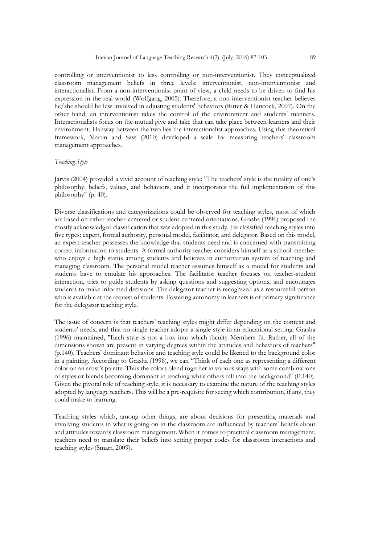controlling or interventionist to less controlling or non-interventionist. They conceptualized classroom management beliefs in three levels: interventionist, non-interventionist and interactionalist. From a non-interventionist point of view, a child needs to be driven to find his expression in the real world (Wolfgang, 2005). Therefore, a non-interventionist teacher believes he/she should be less involved in adjusting students' behaviors (Ritter & Hancock, 2007). On the other hand, an interventionist takes the control of the environment and students' manners. Interactionalists focus on the mutual give and take that can take place between learners and their environment. Halfway between the two lies the interactionalist approaches. Using this theoretical framework, Martin and Sass (2010) developed a scale for measuring teachers' classroom management approaches.

## *Teaching Style*

Jarvis (2004) provided a vivid account of teaching style: "The teachers' style is the totality of one's philosophy, beliefs, values, and behaviors, and it incorporates the full implementation of this philosophy" (p. 40).

Diverse classifications and categorizations could be observed for teaching styles, most of which are based on either teacher-centered or student-centered orientations. Grasha (1996) proposed the mostly acknowledged classification that was adopted in this study. He classified teaching styles into five types: expert, formal authority, personal model, facilitator, and delegator. Based on this model, an expert teacher possesses the knowledge that students need and is concerned with transmitting correct information to students. A formal authority teacher considers himself as a school member who enjoys a high status among students and believes in authoritarian system of teaching and managing classroom. The personal model teacher assumes himself as a model for students and students have to emulate his approaches. The facilitator teacher focuses on teacher-student interaction, tries to guide students by asking questions and suggesting options, and encourages students to make informed decisions. The delegator teacher is recognized as a resourceful person who is available at the request of students. Fostering autonomy in learners is of primary significance for the delegator teaching style.

The issue of concern is that teachers' teaching styles might differ depending on the context and students' needs, and that no single teacher adopts a single style in an educational setting. Grasha (1996) maintained, "Each style is not a box into which faculty Members fit. Rather, all of the dimensions shown are present in varying degrees within the attitudes and behaviors of teachers" (p.140). Teachers' dominant behavior and teaching style could be likened to the background color in a painting. According to Grasha (1996), we can "Think of each one as representing a different color on an artist's palette. Thus the colors blend together in various ways with some combinations of styles or blends becoming dominant in teaching while others fall into the background" (P.140). Given the pivotal role of teaching style, it is necessary to examine the nature of the teaching styles adopted by language teachers. This will be a pre-requisite for seeing which contribution, if any, they could make to learning.

Teaching styles which, among other things, are about decisions for presenting materials and involving students in what is going on in the classroom are influenced by teachers' beliefs about and attitudes towards classroom management. When it comes to practical classroom management, teachers need to translate their beliefs into setting proper codes for classroom interactions and teaching styles (Smart, 2009).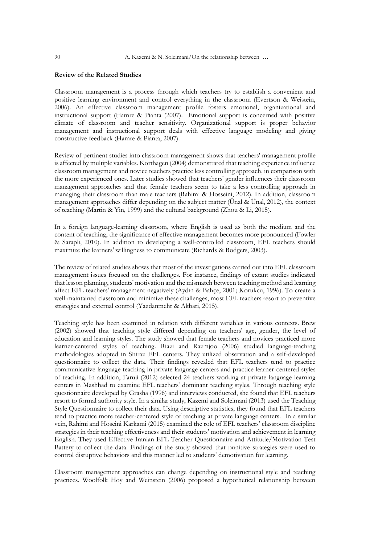## **Review of the Related Studies**

Classroom management is a process through which teachers try to establish a convenient and positive learning environment and control everything in the classroom (Evertson & Weistein, 2006). An effective classroom management profile fosters emotional, organizational and instructional support (Hamre & Pianta (2007). Emotional support is concerned with positive climate of classroom and teacher sensitivity. Organizational support is proper behavior management and instructional support deals with effective language modeling and giving constructive feedback (Hamre & Pianta, 2007).

Review of pertinent studies into classroom management shows that teachers' management profile is affected by multiple variables. Korthagen (2004) demonstrated that teaching experience influence classroom management and novice teachers practice less controlling approach, in comparison with the more experienced ones. Later studies showed that teachers' gender influences their classroom management approaches and that female teachers seem to take a less controlling approach in managing their classroom than male teachers (Rahimi & Hosseini, 2012). In addition, classroom management approaches differ depending on the subject matter (Ünal & Ünal, 2012), the context of teaching (Martin & Yin, 1999) and the cultural background (Zhou & Li, 2015).

In a foreign language-learning classroom, where English is used as both the medium and the content of teaching, the significance of effective management becomes more pronounced (Fowler & Sarapli, 2010). In addition to developing a well-controlled classroom, EFL teachers should maximize the learners' willingness to communicate (Richards & Rodgers, 2003).

The review of related studies shows that most of the investigations carried out into EFL classroom management issues focused on the challenges. For instance, findings of extant studies indicated that lesson planning, students' motivation and the mismatch between teaching method and learning affect EFL teachers' management negatively (Aydın & Bahçe, 2001; Korukcu, 1996). To create a well-maintained classroom and minimize these challenges, most EFL teachers resort to preventive strategies and external control (Yazdanmehr & Akbari, 2015).

Teaching style has been examined in relation with different variables in various contexts. Brew (2002) showed that teaching style differed depending on teachers' age, gender, the level of education and learning styles. The study showed that female teachers and novices practiced more learner-centered styles of teaching. Riazi and Razmjoo (2006) studied language-teaching methodologies adopted in Shiraz EFL centers. They utilized observation and a self-developed questionnaire to collect the data. Their findings revealed that EFL teachers tend to practice communicative language teaching in private language centers and practice learner-centered styles of teaching. In addition, Faruji (2012) selected 24 teachers working at private language learning centers in Mashhad to examine EFL teachers' dominant teaching styles. Through teaching style questionnaire developed by Grasha (1996) and interviews conducted, she found that EFL teachers resort to formal authority style. In a similar study, Kazemi and Soleimani (2013) used the Teaching Style Questionnaire to collect their data. Using descriptive statistics, they found that EFL teachers tend to practice more teacher-centered style of teaching at private language centers. In a similar vein, Rahimi and Hoseini Karkami (2015) examined the role of EFL teachers' classroom discipline strategies in their teaching effectiveness and their students' motivation and achievement in learning English. They used Effective Iranian EFL Teacher Questionnaire and Attitude/Motivation Test Battery to collect the data. Findings of the study showed that punitive strategies were used to control disruptive behaviors and this manner led to students' demotivation for learning.

Classroom management approaches can change depending on instructional style and teaching practices. Woolfolk Hoy and Weinstein (2006) proposed a hypothetical relationship between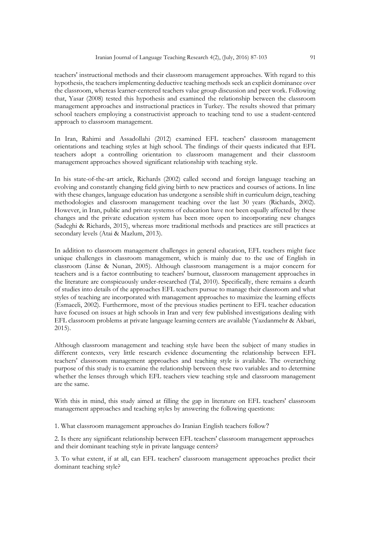teachers' instructional methods and their classroom management approaches. With regard to this hypothesis, the teachers implementing deductive teaching methods seek an explicit dominance over the classroom, whereas learner-centered teachers value group discussion and peer work. Following that, Yasar (2008) tested this hypothesis and examined the relationship between the classroom management approaches and instructional practices in Turkey. The results showed that primary school teachers employing a constructivist approach to teaching tend to use a student-centered approach to classroom management.

In Iran, Rahimi and Assadollahi (2012) examined EFL teachers' classroom management orientations and teaching styles at high school. The findings of their quests indicated that EFL teachers adopt a controlling orientation to classroom management and their classroom management approaches showed significant relationship with teaching style.

In his state-of-the-art article, Richards (2002) called second and foreign language teaching an evolving and constantly changing field giving birth to new practices and courses of actions. In line with these changes, language education has undergone a sensible shift in curriculum deign, teaching methodologies and classroom management teaching over the last 30 years (Richards, 2002). However, in Iran, public and private systems of education have not been equally affected by these changes and the private education system has been more open to incorporating new changes (Sadeghi & Richards, 2015), whereas more traditional methods and practices are still practices at secondary levels (Atai & Mazlum, 2013).

In addition to classroom management challenges in general education, EFL teachers might face unique challenges in classroom management, which is mainly due to the use of English in classroom (Linse & Nunan, 2005). Although classroom management is a major concern for teachers and is a factor contributing to teachers' burnout, classroom management approaches in the literature are conspicuously under-researched (Tal, 2010). Specifically, there remains a dearth of studies into details of the approaches EFL teachers pursue to manage their classroom and what styles of teaching are incorporated with management approaches to maximize the learning effects (Esmaeeli, 2002). Furthermore, most of the previous studies pertinent to EFL teacher education have focused on issues at high schools in Iran and very few published investigations dealing with EFL classroom problems at private language learning centers are available (Yazdanmehr & Akbari, 2015).

Although classroom management and teaching style have been the subject of many studies in different contexts, very little research evidence documenting the relationship between EFL teachers' classroom management approaches and teaching style is available. The overarching purpose of this study is to examine the relationship between these two variables and to determine whether the lenses through which EFL teachers view teaching style and classroom management are the same.

With this in mind, this study aimed at filling the gap in literature on EFL teachers' classroom management approaches and teaching styles by answering the following questions:

1. What classroom management approaches do Iranian English teachers follow?

2. Is there any significant relationship between EFL teachers' classroom management approaches and their dominant teaching style in private language centers?

3. To what extent, if at all, can EFL teachers' classroom management approaches predict their dominant teaching style?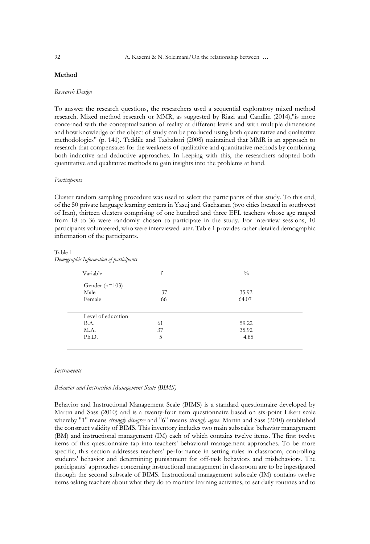## **Method**

#### *Research Design*

To answer the research questions, the researchers used a sequential exploratory mixed method research. Mixed method research or MMR, as suggested by Riazi and Candlin (2014),"is more concerned with the conceptualization of reality at different levels and with multiple dimensions and how knowledge of the object of study can be produced using both quantitative and qualitative methodologies" (p. 141). Teddile and Tashakori (2008) maintained that MMR is an approach to research that compensates for the weakness of qualitative and quantitative methods by combining both inductive and deductive approaches. In keeping with this, the researchers adopted both quantitative and qualitative methods to gain insights into the problems at hand.

#### *Participants*

Cluster random sampling procedure was used to select the participants of this study. To this end, of the 50 private language learning centers in Yasuj and Gachsaran (two cities located in southwest of Iran), thirteen clusters comprising of one hundred and three EFL teachers whose age ranged from 18 to 36 were randomly chosen to participate in the study. For interview sessions, 10 participants volunteered, who were interviewed later. Table 1 provides rather detailed demographic information of the participants.

#### Table 1

*Demographic Information of participants*

| Variable           |    | $\frac{0}{0}$ |
|--------------------|----|---------------|
| Gender ( $n=103$ ) |    |               |
| Male               | 37 | 35.92         |
| Female             | 66 | 64.07         |
|                    |    |               |
| Level of education |    |               |
| <b>B.A.</b>        | 61 | 59.22         |
| M.A.               | 37 | 35.92         |

#### *Instruments*

#### *Behavior and Instruction Management Scale (BIMS)*

Behavior and Instructional Management Scale (BIMS) is a standard questionnaire developed by Martin and Sass (2010) and is a twenty-four item questionnaire based on six-point Likert scale whereby "1" means *strongly disagree* and "6" means *strongly agree*. Martin and Sass (2010) established the construct validity of BIMS. This inventory includes two main subscales: behavior management (BM) and instructional management (IM) each of which contains twelve items. The first twelve items of this questionnaire tap into teachers' behavioral management approaches. To be more specific, this section addresses teachers' performance in setting rules in classroom, controlling students' behavior and determining punishment for off-task behaviors and misbehaviors. The participants' approaches concerning instructional management in classroom are to be ingestigated through the second subscale of BIMS. Instructional management subscale (IM) contains twelve items asking teachers about what they do to monitor learning activities, to set daily routines and to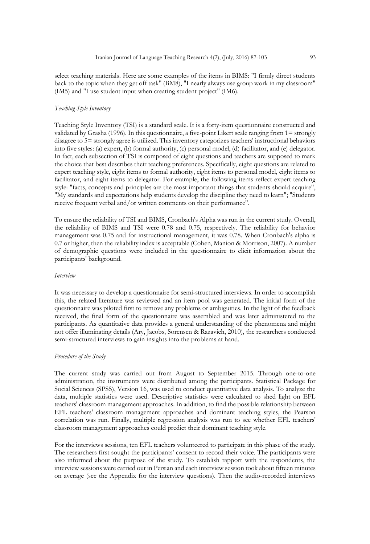select teaching materials. Here are some examples of the items in BIMS: "I firmly direct students back to the topic when they get off task" (BM8), "I nearly always use group work in my classroom" (IM5) and "I use student input when creating student project" (IM6).

## *Teaching Style Inventory*

Teaching Style Inventory (TSI) is a standard scale. It is a forty-item questionnaire constructed and validated by Grasha (1996). In this questionnaire, a five-point Likert scale ranging from 1= strongly disagree to 5= strongly agree is utilized. This inventory categorizes teachers' instructional behaviors into five styles: (a) expert, (b) formal authority, (c) personal model, (d) facilitator, and (e) delegator. In fact, each subsection of TSI is composed of eight questions and teachers are supposed to mark the choice that best describes their teaching preferences. Specifically, eight questions are related to expert teaching style, eight items to formal authority, eight items to personal model, eight items to facilitator, and eight items to delegator. For example, the following items reflect expert teaching style: "facts, concepts and principles are the most important things that students should acquire", "My standards and expectations help students develop the discipline they need to learn"; "Students receive frequent verbal and/or written comments on their performance".

To ensure the reliability of TSI and BIMS, Cronbach's Alpha was run in the current study. Overall, the reliability of BIMS and TSI were 0.78 and 0.75, respectively. The reliability for behavior management was 0.75 and for instructional management, it was 0.78. When Cronbach's alpha is 0.7 or higher, then the reliability index is acceptable (Cohen, Manion & Morrison, 2007). A number of demographic questions were included in the questionnaire to elicit information about the participants' background.

#### *Interview*

It was necessary to develop a questionnaire for semi-structured interviews. In order to accomplish this, the related literature was reviewed and an item pool was generated. The initial form of the questionnaire was piloted first to remove any problems or ambiguities. In the light of the feedback received, the final form of the questionnaire was assembled and was later administered to the participants. As quantitative data provides a general understanding of the phenomena and might not offer illuminating details (Ary, Jacobs, Sorensen & Razavieh, 2010), the researchers conducted semi-structured interviews to gain insights into the problems at hand.

#### *Procedure of the Study*

The current study was carried out from August to September 2015. Through one-to-one administration, the instruments were distributed among the participants. Statistical Package for Social Sciences (SPSS), Version 16, was used to conduct quantitative data analysis. To analyze the data, multiple statistics were used. Descriptive statistics were calculated to shed light on EFL teachers' classroom management approaches. In addition, to find the possible relationship between EFL teachers' classroom management approaches and dominant teaching styles, the Pearson correlation was run. Finally, multiple regression analysis was run to see whether EFL teachers' classroom management approaches could predict their dominant teaching style.

For the interviews sessions, ten EFL teachers volunteered to participate in this phase of the study. The researchers first sought the participants' consent to record their voice. The participants were also informed about the purpose of the study. To establish rapport with the respondents, the interview sessions were carried out in Persian and each interview session took about fifteen minutes on average (see the Appendix for the interview questions). Then the audio-recorded interviews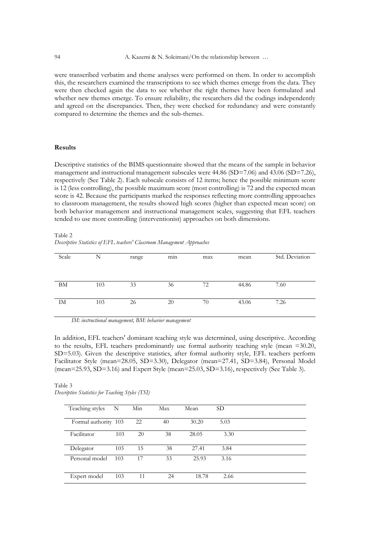were transcribed verbatim and theme analyses were performed on them. In order to accomplish this, the researchers examined the transcriptions to see which themes emerge from the data. They were then checked again the data to see whether the right themes have been formulated and whether new themes emerge. To ensure reliability, the researchers did the codings independently and agreed on the discrepancies. Then, they were checked for redundancy and were constantly compared to determine the themes and the sub-themes.

### **Results**

Descriptive statistics of the BIMS questionnaire showed that the means of the sample in behavior management and instructional management subscales were 44.86 (SD=7.06) and 43.06 (SD=7.26), respectively (See Table 2). Each subscale consists of 12 items; hence the possible minimum score is 12 (less controlling), the possible maximum score (most controlling) is 72 and the expected mean score is 42. Because the participants marked the responses reflecting more controlling approaches to classroom management, the results showed high scores (higher than expected mean score) on both behavior management and instructional management scales, suggesting that EFL teachers tended to use more controlling (interventionist) approaches on both dimensions.

Table 2 *Descriptive Statistics of EFL teachers' Classroom Management Approaches*

| Scale | N   | range | $\cdot$<br>min | max | mean  | Std. Deviation |
|-------|-----|-------|----------------|-----|-------|----------------|
|       |     |       |                |     |       |                |
|       |     |       |                |     |       |                |
|       |     |       |                |     |       |                |
|       |     |       |                |     |       |                |
|       |     |       |                |     |       |                |
| BM    | 103 | 33    | 36             | 72  | 44.86 | 7.60           |
|       |     |       |                |     |       |                |
|       |     |       |                |     |       |                |
|       |     |       |                |     |       |                |
| IM    | 103 | 26    | 20             | 70  | 43.06 | 7.26           |
|       |     |       |                |     |       |                |
|       |     |       |                |     |       |                |
|       |     |       |                |     |       |                |

*IM: instructional management, BM: behavior management*

In addition, EFL teachers' dominant teaching style was determined, using descriptive. According to the results, EFL teachers predominantly use formal authority teaching style (mean =30.20, SD=5.03). Given the descriptive statistics, after formal authority style, EFL teachers perform Facilitator Style (mean=28.05, SD=3.30), Delegator (mean=27.41, SD=3.84), Personal Model (mean=25.93, SD=3.16) and Expert Style (mean=25.03, SD=3.16), respectively (See Table 3).

Table 3 *Descriptive Statistics for Teaching Styles (TSI)*

| Teaching styles      | N   | Min | Max | Mean  | SD <sub>1</sub> |  |
|----------------------|-----|-----|-----|-------|-----------------|--|
| Formal authority 103 |     | 22  | 40  | 30.20 | 5.03            |  |
| Facilitator          | 103 | 20  | 38  | 28.05 | 3.30            |  |
| Delegator            | 103 | 15  | 38  | 27.41 | 3.84            |  |
| Personal model       | 103 | 17  | 33  | 25.93 | 3.16            |  |
| Expert model         | 103 | 11  | 24  | 18.78 | 2.66            |  |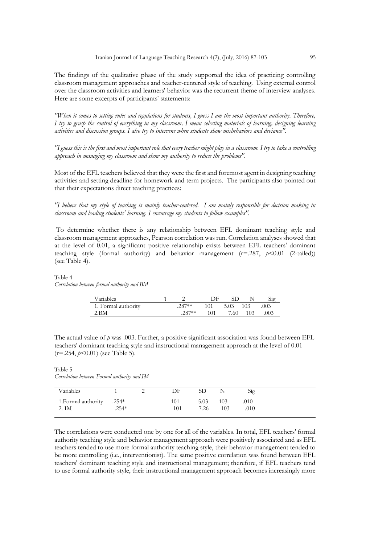The findings of the qualitative phase of the study supported the idea of practicing controlling classroom management approaches and teacher-centered style of teaching. Using external control over the classroom activities and learners' behavior was the recurrent theme of interview analyses. Here are some excerpts of participants' statements:

*"When it comes to setting rules and regulations for students, I guess I am the most important authority. Therefore, I try to grasp the control of everything in my classroom, I mean selecting materials of learning, designing learning activities and discussion groups. I also try to intervene when students show misbehaviors and deviance".*

*"I guess this is the first and most important role that every teacher might play in a classroom. I try to take a controlling approach in managing my classroom and show my authority to reduce the problems".*

Most of the EFL teachers believed that they were the first and foremost agent in designing teaching activities and setting deadline for homework and term projects. The participants also pointed out that their expectations direct teaching practices:

*"I believe that my style of teaching is mainly teacher-centered. I am mainly responsible for decision making in classroom and leading students' learning. I encourage my students to follow examples".* 

To determine whether there is any relationship between EFL dominant teaching style and classroom management approaches, Pearson correlation was run. Correlation analyses showed that at the level of 0.01, a significant positive relationship exists between EFL teachers' dominant teaching style (formal authority) and behavior management  $(r=287, p<0.01$  (2-tailed)) (see Table 4).

#### Table 4 *Correlation between formal authority and BM*

| Variables           |         | DE  |      |     | Sig  |
|---------------------|---------|-----|------|-----|------|
| 1. Formal authority | $287**$ | 101 | 5.03 | 103 | .003 |
| 2. BM               | $287**$ | 101 | 7.60 | 103 | .003 |

The actual value of *p* was .003. Further, a positive significant association was found between EFL teachers' dominant teaching style and instructional management approach at the level of 0.01 (r=.254, *p*<0.01) (see Table 5).

Table 5 *Correlation between Formal authority and IM*

| Variables           |         | DF  | SD   |     | Sig  |
|---------------------|---------|-----|------|-----|------|
| 1. Formal authority | $.254*$ |     | 5.03 | 103 | .010 |
| 2. IM               | $.254*$ | 101 | 7.26 | 103 | .010 |

The correlations were conducted one by one for all of the variables. In total, EFL teachers' formal authority teaching style and behavior management approach were positively associated and as EFL teachers tended to use more formal authority teaching style, their behavior management tended to be more controlling (i.e., interventionist). The same positive correlation was found between EFL teachers' dominant teaching style and instructional management; therefore, if EFL teachers tend to use formal authority style, their instructional management approach becomes increasingly more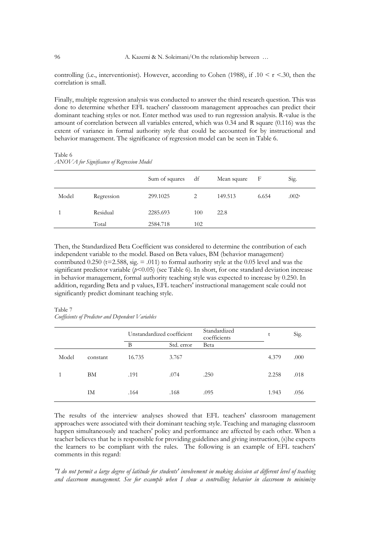controlling (i.e., interventionist). However, according to Cohen (1988), if  $.10 \le r \le 30$ , then the correlation is small.

Finally, multiple regression analysis was conducted to answer the third research question. This was done to determine whether EFL teachers' classroom management approaches can predict their dominant teaching styles or not. Enter method was used to run regression analysis. R-value is the amount of correlation between all variables entered, which was 0.34 and R square (0.116) was the extent of variance in formal authority style that could be accounted for by instructional and behavior management. The significance of regression model can be seen in Table 6.

Sum of squares df Mean square F Sig. Model Regression 299.1025 2 149.513 6.654 .002<sup>a</sup> 1 Residual 2285.693 100 22.8 Total 2584.718 102

Table 6 *ANOVA for Significance of Regression Model*

Then, the Standardized Beta Coefficient was considered to determine the contribution of each independent variable to the model. Based on Beta values, BM (behavior management) contributed  $0.250$  (t=2.588, sig. = .011) to formal authority style at the 0.05 level and was the significant predictor variable ( $p$ <0.05) (see Table 6). In short, for one standard deviation increase in behavior management, formal authority teaching style was expected to increase by 0.250. In addition, regarding Beta and p values, EFL teachers' instructional management scale could not significantly predict dominant teaching style.

#### Table 7 *Coefficients of Predictor and Dependent Variables*

|       |          | Unstandardized coefficient |            | Standardized<br>coefficients | t     | Sig. |
|-------|----------|----------------------------|------------|------------------------------|-------|------|
|       |          | B                          | Std. error | Beta                         |       |      |
| Model | constant | 16.735                     | 3.767      |                              | 4.379 | .000 |
|       | BM       | .191                       | .074       | .250                         | 2.258 | .018 |
|       | IM       | .164                       | .168       | .095                         | 1.943 | .056 |

The results of the interview analyses showed that EFL teachers' classroom management approaches were associated with their dominant teaching style. Teaching and managing classroom happen simultaneously and teachers' policy and performance are affected by each other. When a teacher believes that he is responsible for providing guidelines and giving instruction, (s)he expects the learners to be compliant with the rules. The following is an example of EFL teachers' comments in this regard:

*"I do not permit a large degree of latitude for students' involvement in making decision at different level of teaching and classroom management. See for example when I show a controlling behavior in classroom to minimize*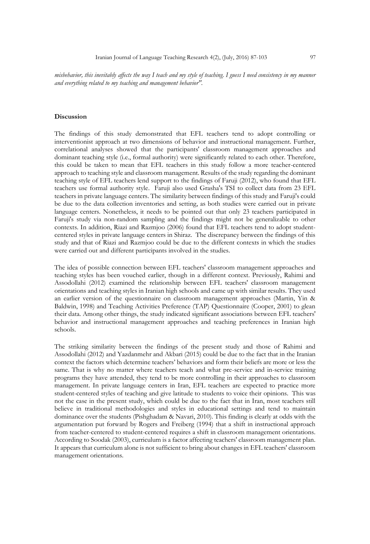*misbehavior, this inevitably affects the way I teach and my style of teaching. I guess I need consistency in my manner and everything related to my teaching and management behavior".*

### **Discussion**

The findings of this study demonstrated that EFL teachers tend to adopt controlling or interventionist approach at two dimensions of behavior and instructional management. Further, correlational analyses showed that the participants' classroom management approaches and dominant teaching style (i.e., formal authority) were significantly related to each other. Therefore, this could be taken to mean that EFL teachers in this study follow a more teacher-centered approach to teaching style and classroom management. Results of the study regarding the dominant teaching style of EFL teachers lend support to the findings of Faruji (2012), who found that EFL teachers use formal authority style. Faruji also used Grasha's TSI to collect data from 23 EFL teachers in private language centers. The similarity between findings of this study and Faruji's could be due to the data collection inventories and setting, as both studies were carried out in private language centers. Nonetheless, it needs to be pointed out that only 23 teachers participated in Faruji's study via non-random sampling and the findings might not be generalizable to other contexts. In addition, Riazi and Razmjoo (2006) found that EFL teachers tend to adopt studentcentered styles in private language centers in Shiraz. The discrepancy between the findings of this study and that of Riazi and Razmjoo could be due to the different contexts in which the studies were carried out and different participants involved in the studies.

The idea of possible connection between EFL teachers' classroom management approaches and teaching styles has been vouched earlier, though in a different context. Previously, Rahimi and Assodollahi (2012) examined the relationship between EFL teachers' classroom management orientations and teaching styles in Iranian high schools and came up with similar results. They used an earlier version of the questionnaire on classroom management approaches (Martin, Yin & Baldwin, 1998) and Teaching Activities Preference (TAP) Questionnaire (Cooper, 2001) to glean their data. Among other things, the study indicated significant associations between EFL teachers' behavior and instructional management approaches and teaching preferences in Iranian high schools.

The striking similarity between the findings of the present study and those of Rahimi and Assodollahi (2012) and Yazdanmehr and Akbari (2015) could be due to the fact that in the Iranian context the factors which determine teachers' behaviors and form their beliefs are more or less the same. That is why no matter where teachers teach and what pre-service and in-service training programs they have attended, they tend to be more controlling in their approaches to classroom management. In private language centers in Iran, EFL teachers are expected to practice more student-centered styles of teaching and give latitude to students to voice their opinions. This was not the case in the present study, which could be due to the fact that in Iran, most teachers still believe in traditional methodologies and styles in educational settings and tend to maintain dominance over the students (Pishghadam & Navari, 2010). This finding is clearly at odds with the argumentation put forward by Rogers and Freiberg (1994) that a shift in instructional approach from teacher-centered to student-centered requires a shift in classroom management orientations. According to Soodak (2003), curriculum is a factor affecting teachers' classroom management plan. It appears that curriculum alone is not sufficient to bring about changes in EFL teachers' classroom management orientations.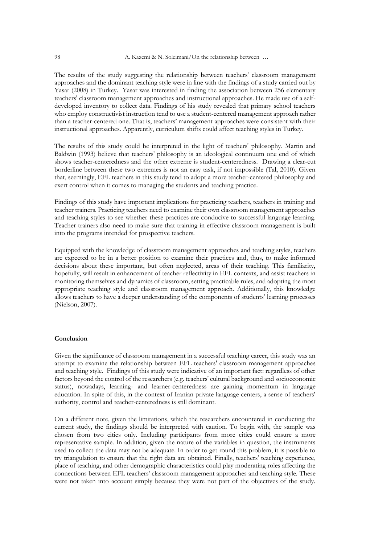The results of the study suggesting the relationship between teachers' classroom management approaches and the dominant teaching style were in line with the findings of a study carried out by Yasar (2008) in Turkey. Yasar was interested in finding the association between 256 elementary teachers' classroom management approaches and instructional approaches. He made use of a selfdeveloped inventory to collect data. Findings of his study revealed that primary school teachers who employ constructivist instruction tend to use a student-centered management approach rather than a teacher-centered one. That is, teachers' management approaches were consistent with their instructional approaches. Apparently, curriculum shifts could affect teaching styles in Turkey.

The results of this study could be interpreted in the light of teachers' philosophy. Martin and Baldwin (1993) believe that teachers' philosophy is an ideological continuum one end of which shows teacher-centeredness and the other extreme is student-centeredness. Drawing a clear-cut borderline between these two extremes is not an easy task, if not impossible (Tal, 2010). Given that, seemingly, EFL teachers in this study tend to adopt a more teacher-centered philosophy and exert control when it comes to managing the students and teaching practice.

Findings of this study have important implications for practicing teachers, teachers in training and teacher trainers. Practicing teachers need to examine their own classroom management approaches and teaching styles to see whether these practices are conducive to successful language learning. Teacher trainers also need to make sure that training in effective classroom management is built into the programs intended for prospective teachers.

Equipped with the knowledge of classroom management approaches and teaching styles, teachers are expected to be in a better position to examine their practices and, thus, to make informed decisions about these important, but often neglected, areas of their teaching. This familiarity, hopefully, will result in enhancement of teacher reflectivity in EFL contexts, and assist teachers in monitoring themselves and dynamics of classroom, setting practicable rules, and adopting the most appropriate teaching style and classroom management approach. Additionally, this knowledge allows teachers to have a deeper understanding of the components of students' learning processes (Nielson, 2007).

## **Conclusion**

Given the significance of classroom management in a successful teaching career, this study was an attempt to examine the relationship between EFL teachers' classroom management approaches and teaching style. Findings of this study were indicative of an important fact: regardless of other factors beyond the control of the researchers (e.g. teachers' cultural background and socioeconomic status), nowadays, learning- and learner-centeredness are gaining momentum in language education. In spite of this, in the context of Iranian private language centers, a sense of teachers' authority, control and teacher-centeredness is still dominant.

On a different note, given the limitations, which the researchers encountered in conducting the current study, the findings should be interpreted with caution. To begin with, the sample was chosen from two cities only. Including participants from more cities could ensure a more representative sample. In addition, given the nature of the variables in question, the instruments used to collect the data may not be adequate. In order to get round this problem, it is possible to try triangulation to ensure that the right data are obtained. Finally, teachers' teaching experience, place of teaching, and other demographic characteristics could play moderating roles affecting the connections between EFL teachers' classroom management approaches and teaching style. These were not taken into account simply because they were not part of the objectives of the study.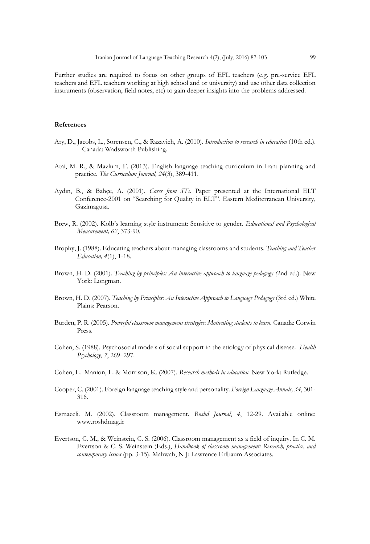Further studies are required to focus on other groups of EFL teachers (e.g. pre-service EFL teachers and EFL teachers working at high school and or university) and use other data collection instruments (observation, field notes, etc) to gain deeper insights into the problems addressed.

## **References**

- Ary, D., Jacobs, L., Sorensen, C., & Razavieh, A. (2010). *Introduction to research in education* (10th ed.). Canada: Wadsworth Publishing.
- Atai, M. R., & Mazlum, F. (2013). English language teaching curriculum in Iran: planning and practice. *The Curriculum Journal, 24*(3), 389-411.
- Aydın, B., & Bahçe, A. (2001). *Cases from STs*. Paper presented at the International ELT Conference-2001 on "Searching for Quality in ELT". Eastern Mediterranean University, Gazimagusa.
- Brew, R. (2002). Kolb's learning style instrument: Sensitive to gender. *Educational and Psychological Measurement, 62*, 373-90*.*
- Brophy, J. (1988). Educating teachers about managing classrooms and students. *Teaching and Teacher Education, 4*(1), 1-18.
- Brown, H. D. (2001). *Teaching by principles: An interactive approach to language pedagogy (*2nd ed.). New York: Longman.
- Brown, H. D. (2007). *Teaching by Principles: An Interactive Approach to Language Pedagogy* (3rd ed.) White Plains: Pearson.
- Burden, P. R. (2005)*. Powerful classroom management strategies: Motivating students to learn.* Canada: Corwin Press.
- Cohen, S. (1988). Psychosocial models of social support in the etiology of physical disease. *Health Psychology*, *7*, 269–297.
- Cohen, L. Manion, L. & Morrison, K. (2007). *Research methods in education.* New York: Rutledge.
- Cooper, C. (2001). Foreign language teaching style and personality. *Foreign Language Annals, 34*, 301- 316.
- Esmaeeli. M. (2002). Classroom management. *Roshd Journal*, *4*, 12-29. Available online: www.roshdmag.ir
- Evertson, C. M., & Weinstein, C. S. (2006). Classroom management as a field of inquiry. In C. M. Evertson & C. S. Weinstein (Eds.), *Handbook of classroom management: Research, practice, and contemporary issues* (pp. 3-15). Mahwah, N J: Lawrence Erlbaum Associates.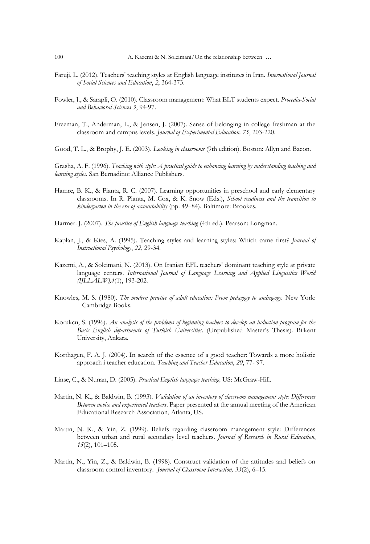- Faruji, L. (2012). Teachers' teaching styles at English language institutes in Iran. *International Journal of Social Sciences and Education*, *2*, 364-373.
- Fowler, J., & Sarapli, O. (2010). Classroom management: What ELT students expect. *Procedia-Social and Behavioral Sciences 3*, 94-97.
- Freeman, T., Anderman, L., & Jensen, J. (2007). Sense of belonging in college freshman at the classroom and campus levels. *Journal of Experimental Education, 75*, 203-220.

Good, T. L., & Brophy, J. E. (2003). *Looking in classrooms* (9th edition). Boston: Allyn and Bacon.

Grasha, A. F. (1996). *Teaching with style: A practical guide to enhancing learning by understanding teaching and learning styles*. San Bernadino: Alliance Publishers.

- Hamre, B. K., & Pianta, R. C. (2007). Learning opportunities in preschool and early elementary classrooms. In R. Pianta, M. Cox, & K. Snow (Eds.), *School readiness and the transition to kindergarten in the era of accountability* (pp. 49–84). Baltimore: Brookes.
- Harmer. J. (2007). *The practice of English language teaching* (4th ed.). Pearson: Longman.
- Kaplan, J., & Kies, A. (1995). Teaching styles and learning styles: Which came first? *Journal of Instructional Psychology*, *22*, 29-34.
- Kazemi, A., & Soleimani, N. (2013). On Iranian EFL teachers' dominant teaching style at private language centers. *International Journal of Language Learning and Applied Linguistics World (IJLLALW),4*(1), 193-202*.*
- Knowles, M. S. (1980)*. The modern practice of adult education: From pedagogy to andragogy.* New York: Cambridge Books.
- Korukcu, S. (1996). *An analysis of the problems of beginning teachers to develop an induction program for the Basic English departments of Turkish Universities*. (Unpublished Master's Thesis). Bilkent University, Ankara.
- Korthagen, F. A. J. (2004). In search of the essence of a good teacher: Towards a more holistic approach i teacher education. *Teaching and Teacher Education*, *20*, 77- 97.
- Linse, C., & Nunan, D. (2005). *Practical English language teaching*. US: McGraw-Hill.
- Martin, N. K., & Baldwin, B. (1993). *Validation of an inventory of classroom management style: Differences Between novice and experienced teachers*. Paper presented at the annual meeting of the American Educational Research Association, Atlanta, US.
- Martin, N. K., & Yin, Z. (1999). Beliefs regarding classroom management style: Differences between urban and rural secondary level teachers. *Journal of Research in Rural Education*, *15*(2), 101–105.
- Martin, N., Yin, Z., & Baldwin, B. (1998). Construct validation of the attitudes and beliefs on classroom control inventory. *Journal of Classroom Interaction, 33*(2), 6–15.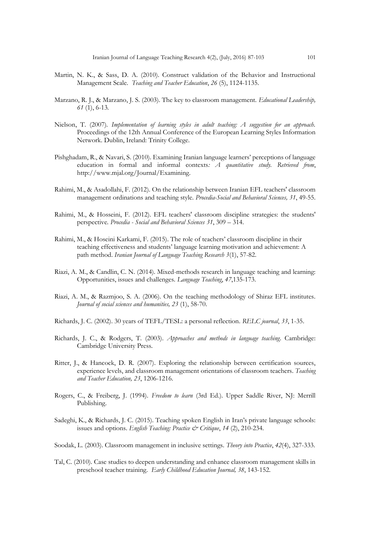- Martin, N. K., & Sass, D. A. (2010). Construct validation of the Behavior and Instructional Management Scale. *Teaching and Teacher Education*, *26* (5), 1124-1135.
- Marzano, R. J., & Marzano, J. S. (2003). The key to classroom management. *Educational Leadership, 61* (1), 6-13*.*
- Nielson, T. (2007)*. Implementation of learning styles in adult teaching: A suggestion for an approach.* Proceedings of the 12th Annual Conference of the European Learning Styles Information Network. Dublin, Ireland: Trinity College.
- Pishghadam, R., & Navari, S. (2010). Examining Iranian language learners' perceptions of language education in formal and informal contexts*: A quantitative study. Retrieved from*, [http://www.mjal.org/Journal/Examining.](http://www.mjal.org/Journal/Examining)
- Rahimi, M., & Asadollahi, F. (2012). On the relationship between Iranian EFL teachers' classroom management ordinations and teaching style. *Procedia-Social and Behavioral Sciences, 31*, 49-55.
- Rahimi, M., & Hosseini, F. (2012). EFL teachers' classroom discipline strategies: the students' perspective*. Procedia - Social and Behavioral Sciences 31*, 309 – 314.
- Rahimi, M., & Hoseini Karkami, F. (2015). The role of teachers' classroom discipline in their teaching effectiveness and students' language learning motivation and achievement: A path method. *Iranian Journal of Language Teaching Research 3*(1), 57-82.
- Riazi, A. M., & Candlin, C. N. (2014). Mixed-methods research in language teaching and learning: Opportunities, issues and challenges. *Language Teaching*, *47*,135-173.
- Riazi, A. M., & Razmjoo, S. A. (2006). On the teaching methodology of Shiraz EFL institutes. *Journal of social sciences and humanities, 23* (1), 58-70.
- Richards, J. C. (2002). 30 years of TEFL/TESL: a personal reflection. *RELC journal*, *33*, 1-35.
- Richards, J. C., & Rodgers, T. (2003). *Approaches and methods in language teaching*. Cambridge: Cambridge University Press.
- Ritter, J., & Hancock, D. R. (2007). Exploring the relationship between certification sources, experience levels, and classroom management orientations of classroom teachers. *Teaching and Teacher Education, 23*, 1206-1216.
- Rogers, C., & Freiberg, J. (1994). *Freedom to learn* (3rd Ed.). Upper Saddle River, NJ: Merrill Publishing.
- Sadeghi, K., & Richards, J. C. (2015). Teaching spoken English in Iran's private language schools: issues and options. *English Teaching: Practice & Critique*, *14* (2), 210-234.
- Soodak, L. (2003). Classroom management in inclusive settings. *Theory into Practice*, *42*(4), 327-333.
- Tal, C. (2010). Case studies to deepen understanding and enhance classroom management skills in preschool teacher training. *Early Childhood Education Journal, 38*, 143-152.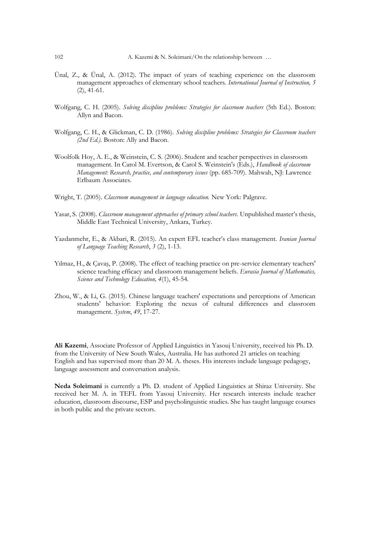- Ünal, Z., & Ünal, A. (2012). The impact of years of teaching experience on the classroom management approaches of elementary school teachers. *International Journal of Instruction, 5*  (2), 41-61.
- Wolfgang, C. H. (2005). *Solving discipline problems: Strategies for classroom teachers* (5th Ed.). Boston: Allyn and Bacon.
- Wolfgang, C. H., & Glickman, C. D. (1986). *Solving discipline problems: Strategies for Classroom teachers (2nd Ed.).* Boston: Ally and Bacon.
- Woolfolk Hoy, A. E., & Weinstein, C. S. (2006). Student and teacher perspectives in classroom management. In Carol M. Evertson, & Carol S. Weinstein's (Eds.), *Handbook of classroom Management: Research, practice, and contemporary issues* (pp. 685-709). Mahwah, NJ: Lawrence Erlbaum Associates.
- Wright, T. (2005). *Classroom management in language education.* New York: Palgrave.
- Yasar, S. (2008). *Classroom management approaches of primary school teachers*. Unpublished master's thesis, Middle East Technical University, Ankara, Turkey.
- Yazdanmehr, E., & Akbari, R. (2015). An expert EFL teacher's class management. *Iranian Journal of Language Teaching Research*, *3* (2), 1-13.
- Yılmaz, H., & Çavaş, P. (2008). The effect of teaching practice on pre-service elementary teachers' science teaching efficacy and classroom management beliefs. *Eurasia Journal of Mathematics, Science and Technology Education, 4*(1), 45-54.
- Zhou, W., & Li, G. (2015). Chinese language teachers' expectations and perceptions of American students' behavior: Exploring the nexus of cultural differences and classroom management. *System*, *49*, 17-27.

**Ali Kazemi**, Associate Professor of Applied Linguistics in Yasouj University, received his Ph. D. from the University of New South Wales, Australia. He has authored 21 articles on teaching English and has supervised more than 20 M. A. theses. His interests include language pedagogy, language assessment and conversation analysis.

**Neda Soleimani** is currently a Ph. D. student of Applied Linguistics at Shiraz University. She received her M. A. in TEFL from Yasouj University. Her research interests include teacher education, classroom discourse, ESP and psycholinguistic studies. She has taught language courses in both public and the private sectors.